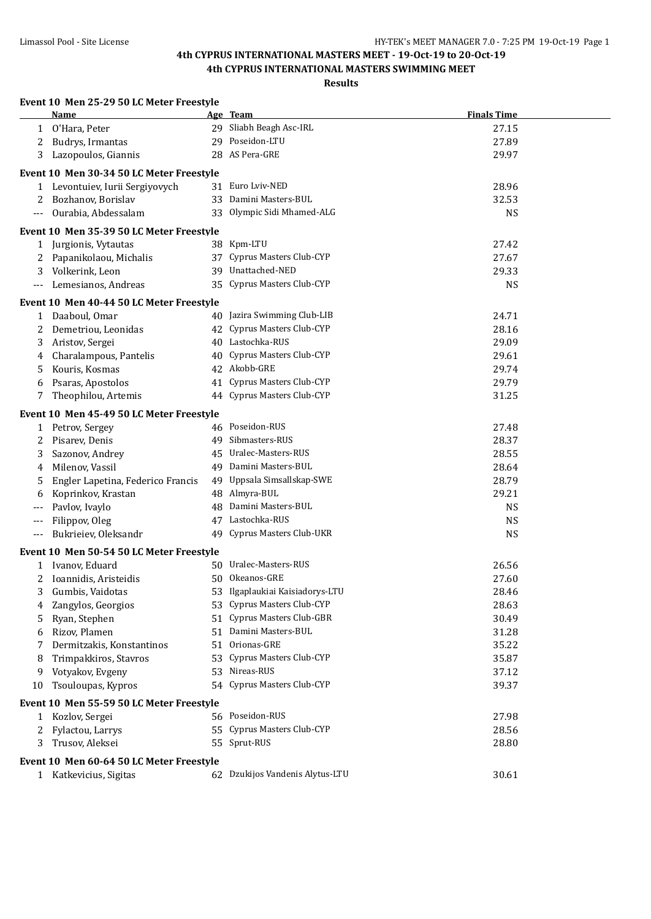# **4th CYPRUS INTERNATIONAL MASTERS MEET - 19-Oct-19 to 20-Oct-19**

## **4th CYPRUS INTERNATIONAL MASTERS SWIMMING MEET**

|       | <b>Name</b>                              |    | Age Team                                      | <b>Finals Time</b> |  |
|-------|------------------------------------------|----|-----------------------------------------------|--------------------|--|
| 1     | O'Hara, Peter                            |    | 29 Sliabh Beagh Asc-IRL                       | 27.15              |  |
| 2     | Budrys, Irmantas                         |    | 29 Poseidon-LTU                               | 27.89              |  |
| 3     | Lazopoulos, Giannis                      |    | 28 AS Pera-GRE                                | 29.97              |  |
|       | Event 10 Men 30-34 50 LC Meter Freestyle |    |                                               |                    |  |
| 1     | Levontuiev, Iurii Sergiyovych            |    | 31 Euro Lviv-NED                              | 28.96              |  |
| 2     | Bozhanov, Borislav                       |    | 33 Damini Masters-BUL                         | 32.53              |  |
| ---   | Ourabia, Abdessalam                      |    | 33 Olympic Sidi Mhamed-ALG                    | <b>NS</b>          |  |
|       |                                          |    |                                               |                    |  |
|       | Event 10 Men 35-39 50 LC Meter Freestyle |    |                                               |                    |  |
| 1     | Jurgionis, Vytautas                      |    | 38 Kpm-LTU                                    | 27.42              |  |
| 2     | Papanikolaou, Michalis                   | 37 | Cyprus Masters Club-CYP                       | 27.67              |  |
| 3     | Volkerink, Leon                          |    | 39 Unattached-NED                             | 29.33              |  |
| $---$ | Lemesianos, Andreas                      |    | 35 Cyprus Masters Club-CYP                    | <b>NS</b>          |  |
|       | Event 10 Men 40-44 50 LC Meter Freestyle |    |                                               |                    |  |
| 1     | Daaboul, Omar                            |    | 40 Jazira Swimming Club-LIB                   | 24.71              |  |
| 2     | Demetriou, Leonidas                      |    | 42 Cyprus Masters Club-CYP                    | 28.16              |  |
| 3     | Aristov, Sergei                          |    | 40 Lastochka-RUS                              | 29.09              |  |
| 4     | Charalampous, Pantelis                   |    | 40 Cyprus Masters Club-CYP                    | 29.61              |  |
| 5     | Kouris, Kosmas                           |    | 42 Akobb-GRE                                  | 29.74              |  |
| 6     | Psaras, Apostolos                        |    | 41 Cyprus Masters Club-CYP                    | 29.79              |  |
| 7     | Theophilou, Artemis                      |    | 44 Cyprus Masters Club-CYP                    | 31.25              |  |
|       |                                          |    |                                               |                    |  |
|       | Event 10 Men 45-49 50 LC Meter Freestyle |    | 46 Poseidon-RUS                               |                    |  |
| 1     | Petrov, Sergey                           |    | 49 Sibmasters-RUS                             | 27.48              |  |
| 2     | Pisarev, Denis                           |    |                                               | 28.37              |  |
| 3     | Sazonov, Andrey                          |    | 45 Uralec-Masters-RUS                         | 28.55              |  |
| 4     | Milenov, Vassil                          |    | 49 Damini Masters-BUL                         | 28.64              |  |
| 5     | Engler Lapetina, Federico Francis        |    | 49 Uppsala Simsallskap-SWE                    | 28.79              |  |
| 6     | Koprinkov, Krastan                       |    | 48 Almyra-BUL                                 | 29.21              |  |
| $---$ | Pavlov, Ivaylo                           |    | 48 Damini Masters-BUL                         | <b>NS</b>          |  |
| ---   | Filippov, Oleg                           |    | 47 Lastochka-RUS                              | <b>NS</b>          |  |
| $---$ | Bukrieiev, Oleksandr                     |    | 49 Cyprus Masters Club-UKR                    | <b>NS</b>          |  |
|       | Event 10 Men 50-54 50 LC Meter Freestyle |    |                                               |                    |  |
| 1     | Ivanov, Eduard                           |    | 50 Uralec-Masters-RUS                         | 26.56              |  |
| 2     | Ioannidis, Aristeidis                    |    | 50 Okeanos-GRE                                | 27.60              |  |
| 3     | Gumbis, Vaidotas                         |    | 53 Ilgaplaukiai Kaisiadorys-LTU               | 28.46              |  |
| 4     | Zangylos, Georgios                       |    | 53 Cyprus Masters Club-CYP                    | 28.63              |  |
| 5     | Ryan, Stephen                            |    | 51 Cyprus Masters Club-GBR                    | 30.49              |  |
| 6     | Rizov, Plamen                            |    | 51 Damini Masters-BUL                         | 31.28              |  |
| 7     | Dermitzakis, Konstantinos                |    | 51 Orionas-GRE                                | 35.22              |  |
| 8     | Trimpakkiros, Stavros                    |    | 53 Cyprus Masters Club-CYP                    | 35.87              |  |
| 9     | Votyakov, Evgeny                         |    | 53 Nireas-RUS                                 | 37.12              |  |
| 10    | Tsouloupas, Kypros                       |    | 54 Cyprus Masters Club-CYP                    | 39.37              |  |
|       |                                          |    |                                               |                    |  |
|       | Event 10 Men 55-59 50 LC Meter Freestyle |    |                                               |                    |  |
|       | 1 Kozlov, Sergei                         |    | 56 Poseidon-RUS<br>55 Cyprus Masters Club-CYP | 27.98              |  |
| 2     | Fylactou, Larrys                         |    |                                               | 28.56              |  |
| 3     | Trusov, Aleksei                          |    | 55 Sprut-RUS                                  | 28.80              |  |
|       | Event 10 Men 60-64 50 LC Meter Freestyle |    |                                               |                    |  |
|       | 1 Katkevicius, Sigitas                   |    | 62 Dzukijos Vandenis Alytus-LTU               | 30.61              |  |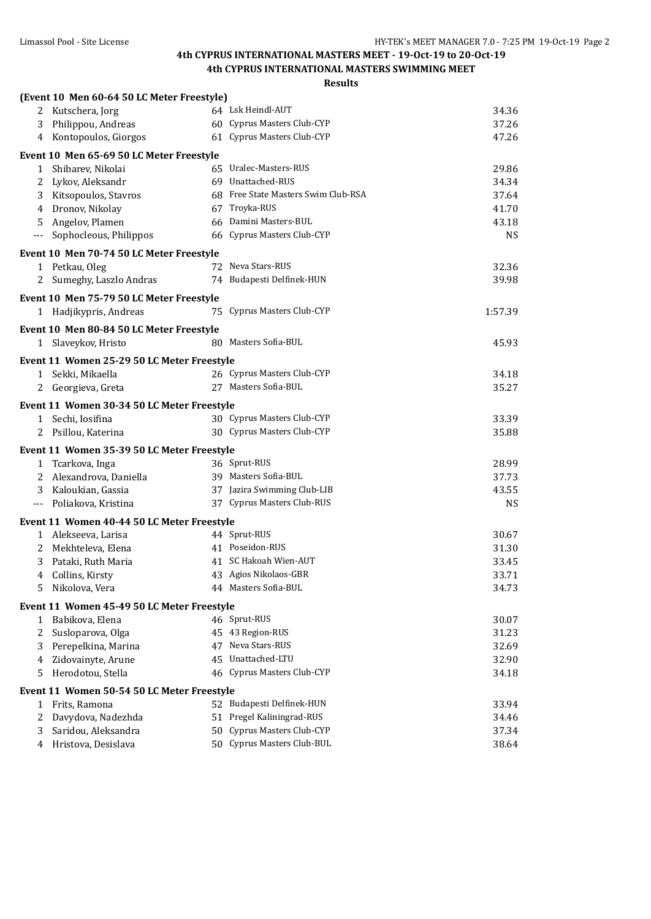|          | (Event 10 Men 60-64 50 LC Meter Freestyle) |                                     |           |
|----------|--------------------------------------------|-------------------------------------|-----------|
|          | 2 Kutschera, Jorg                          | 64 Lsk Heindl-AUT                   | 34.36     |
| 3        | Philippou, Andreas                         | 60 Cyprus Masters Club-CYP          | 37.26     |
|          | 4 Kontopoulos, Giorgos                     | 61 Cyprus Masters Club-CYP          | 47.26     |
|          | Event 10 Men 65-69 50 LC Meter Freestyle   |                                     |           |
|          | 1 Shibarev, Nikolai                        | 65 Uralec-Masters-RUS               | 29.86     |
| 2        | Lykov, Aleksandr                           | 69 Unattached-RUS                   | 34.34     |
| 3        | Kitsopoulos, Stavros                       | 68 Free State Masters Swim Club-RSA | 37.64     |
| 4        | Dronov, Nikolay                            | 67 Troyka-RUS                       | 41.70     |
| 5        | Angelov, Plamen                            | 66 Damini Masters-BUL               | 43.18     |
| $\cdots$ | Sophocleous, Philippos                     | 66 Cyprus Masters Club-CYP          | <b>NS</b> |
|          | Event 10 Men 70-74 50 LC Meter Freestyle   |                                     |           |
|          | 1 Petkau, Oleg                             | 72 Neva Stars-RUS                   | 32.36     |
| 2        | Sumeghy, Laszlo Andras                     | 74 Budapesti Delfinek-HUN           | 39.98     |
|          | Event 10 Men 75-79 50 LC Meter Freestyle   |                                     |           |
|          | 1 Hadjikypris, Andreas                     | 75 Cyprus Masters Club-CYP          | 1:57.39   |
|          | Event 10 Men 80-84 50 LC Meter Freestyle   |                                     |           |
| 1        | Slaveykov, Hristo                          | 80 Masters Sofia-BUL                | 45.93     |
|          | Event 11 Women 25-29 50 LC Meter Freestyle |                                     |           |
| 1        | Sekki, Mikaella                            | 26 Cyprus Masters Club-CYP          | 34.18     |
|          | 2 Georgieva, Greta                         | 27 Masters Sofia-BUL                | 35.27     |
|          | Event 11 Women 30-34 50 LC Meter Freestyle |                                     |           |
|          | 1 Sechi, Iosifina                          | 30 Cyprus Masters Club-CYP          | 33.39     |
| 2        | Psillou, Katerina                          | 30 Cyprus Masters Club-CYP          | 35.88     |
|          | Event 11 Women 35-39 50 LC Meter Freestyle |                                     |           |
| 1        | Tcarkova, Inga                             | 36 Sprut-RUS                        | 28.99     |
| 2        | Alexandrova, Daniella                      | 39 Masters Sofia-BUL                | 37.73     |
| 3        | Kaloukian, Gassia                          | 37 Jazira Swimming Club-LIB         | 43.55     |
| $---$    | Poliakova, Kristina                        | 37 Cyprus Masters Club-RUS          | <b>NS</b> |
|          | Event 11 Women 40-44 50 LC Meter Freestyle |                                     |           |
|          | 1 Alekseeva, Larisa                        | 44 Sprut-RUS                        | 30.67     |
| 2        | Mekhteleva, Elena                          | 41 Poseidon-RUS                     | 31.30     |
| 3        | Pataki, Ruth Maria                         | 41 SC Hakoah Wien-AUT               | 33.45     |
| 4        | Collins, Kirsty                            | 43 Agios Nikolaos-GBR               | 33.71     |
| 5.       | Nikolova, Vera                             | 44 Masters Sofia-BUL                | 34.73     |
|          | Event 11 Women 45-49 50 LC Meter Freestyle |                                     |           |
| 1        | Babikova, Elena                            | 46 Sprut-RUS                        | 30.07     |
| 2        | Susloparova, Olga                          | 45 43 Region-RUS                    | 31.23     |
| 3        | Perepelkina, Marina                        | 47 Neva Stars-RUS                   | 32.69     |
| 4        | Zidovainyte, Arune                         | 45 Unattached-LTU                   | 32.90     |
| 5        | Herodotou, Stella                          | 46 Cyprus Masters Club-CYP          | 34.18     |
|          | Event 11 Women 50-54 50 LC Meter Freestyle |                                     |           |
| 1        | Frits, Ramona                              | 52 Budapesti Delfinek-HUN           | 33.94     |
| 2        | Davydova, Nadezhda                         | 51 Pregel Kaliningrad-RUS           | 34.46     |
| 3        | Saridou, Aleksandra                        | 50 Cyprus Masters Club-CYP          | 37.34     |
| 4        | Hristova, Desislava                        | 50 Cyprus Masters Club-BUL          | 38.64     |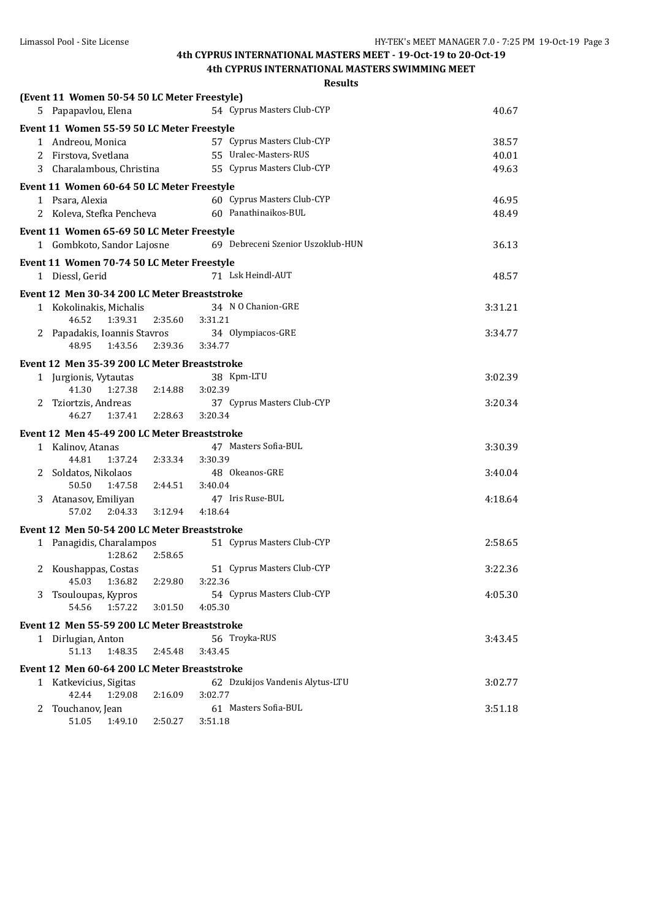|   |                                              |         | Results                           |         |
|---|----------------------------------------------|---------|-----------------------------------|---------|
|   | (Event 11 Women 50-54 50 LC Meter Freestyle) |         |                                   |         |
|   | 5 Papapavlou, Elena                          |         | 54 Cyprus Masters Club-CYP        | 40.67   |
|   | Event 11 Women 55-59 50 LC Meter Freestyle   |         |                                   |         |
|   | 1 Andreou, Monica                            |         | 57 Cyprus Masters Club-CYP        | 38.57   |
|   | 2 Firstova, Svetlana                         |         | 55 Uralec-Masters-RUS             | 40.01   |
|   | 3 Charalambous, Christina                    |         | 55 Cyprus Masters Club-CYP        | 49.63   |
|   | Event 11 Women 60-64 50 LC Meter Freestyle   |         |                                   |         |
|   | 1 Psara, Alexia                              |         | 60 Cyprus Masters Club-CYP        | 46.95   |
|   | 2 Koleva, Stefka Pencheva                    |         | 60 Panathinaikos-BUL              | 48.49   |
|   | Event 11 Women 65-69 50 LC Meter Freestyle   |         |                                   |         |
|   | 1 Gombkoto, Sandor Lajosne                   |         | 69 Debreceni Szenior Uszoklub-HUN | 36.13   |
|   | Event 11 Women 70-74 50 LC Meter Freestyle   |         |                                   |         |
|   | 1 Diessl, Gerid                              |         | 71 Lsk Heindl-AUT                 | 48.57   |
|   | Event 12 Men 30-34 200 LC Meter Breaststroke |         |                                   |         |
|   | 1 Kokolinakis, Michalis                      |         | 34 N O Chanion-GRE                | 3:31.21 |
|   | 46.52<br>1:39.31                             | 2:35.60 | 3:31.21                           |         |
|   | 2 Papadakis, Ioannis Stavros                 |         | 34 Olympiacos-GRE                 | 3:34.77 |
|   | 48.95<br>1:43.56                             | 2:39.36 | 3:34.77                           |         |
|   | Event 12 Men 35-39 200 LC Meter Breaststroke |         |                                   |         |
|   | 1 Jurgionis, Vytautas                        |         | 38 Kpm-LTU                        | 3:02.39 |
|   | 41.30<br>1:27.38                             | 2:14.88 | 3:02.39                           |         |
|   | 2 Tziortzis, Andreas                         |         | 37 Cyprus Masters Club-CYP        | 3:20.34 |
|   | 46.27 1:37.41                                | 2:28.63 | 3:20.34                           |         |
|   | Event 12 Men 45-49 200 LC Meter Breaststroke |         |                                   |         |
|   | 1 Kalinov, Atanas                            |         | 47 Masters Sofia-BUL              | 3:30.39 |
|   | 44.81<br>1:37.24                             | 2:33.34 | 3:30.39                           |         |
|   | 2 Soldatos, Nikolaos                         |         | 48 Okeanos-GRE                    | 3:40.04 |
|   | 50.50<br>1:47.58                             | 2:44.51 | 3:40.04                           |         |
|   | 3 Atanasov, Emiliyan                         |         | 47 Iris Ruse-BUL                  | 4:18.64 |
|   | 57.02<br>2:04.33                             | 3:12.94 | 4:18.64                           |         |
|   | Event 12 Men 50-54 200 LC Meter Breaststroke |         |                                   |         |
|   | 1 Panagidis, Charalampos                     |         | 51 Cyprus Masters Club-CYP        | 2:58.65 |
|   | 1:28.62                                      | 2:58.65 |                                   |         |
|   | 2 Koushappas, Costas                         |         | 51 Cyprus Masters Club-CYP        | 3:22.36 |
|   | 45.03<br>1:36.82                             | 2:29.80 | 3:22.36                           |         |
| 3 | Tsouloupas, Kypros                           |         | 54 Cyprus Masters Club-CYP        | 4:05.30 |
|   | 54.56<br>1:57.22                             | 3:01.50 | 4:05.30                           |         |
|   | Event 12 Men 55-59 200 LC Meter Breaststroke |         |                                   |         |
|   | 1 Dirlugian, Anton                           |         | 56 Troyka-RUS                     | 3:43.45 |
|   | 51.13<br>1:48.35                             | 2:45.48 | 3:43.45                           |         |
|   | Event 12 Men 60-64 200 LC Meter Breaststroke |         |                                   |         |
|   | 1 Katkevicius, Sigitas                       |         | 62 Dzukijos Vandenis Alytus-LTU   | 3:02.77 |
|   | 42.44<br>1:29.08                             | 2:16.09 | 3:02.77                           |         |
| 2 | Touchanov, Jean                              |         | 61 Masters Sofia-BUL              | 3:51.18 |
|   | 51.05<br>1:49.10                             | 2:50.27 | 3:51.18                           |         |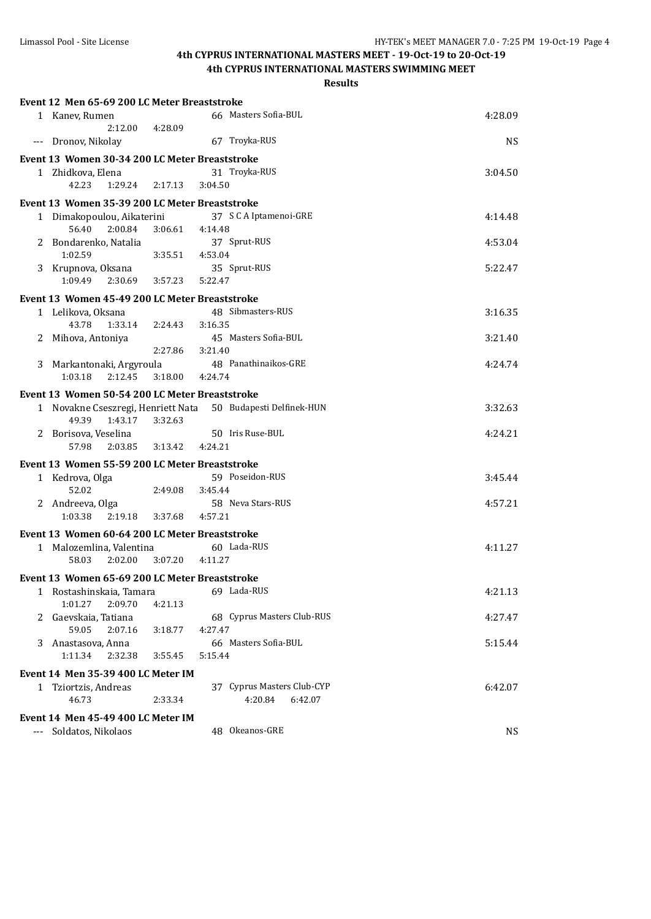# **4th CYPRUS INTERNATIONAL MASTERS MEET - 19-Oct-19 to 20-Oct-19**

**4th CYPRUS INTERNATIONAL MASTERS SWIMMING MEET**

|       | Event 12 Men 65-69 200 LC Meter Breaststroke   |                 |                            |           |
|-------|------------------------------------------------|-----------------|----------------------------|-----------|
|       | 1 Kanev, Rumen                                 |                 | 66 Masters Sofia-BUL       | 4:28.09   |
|       | 2:12.00                                        | 4:28.09         |                            |           |
|       | --- Dronov, Nikolay                            |                 | 67 Troyka-RUS              | <b>NS</b> |
|       | Event 13 Women 30-34 200 LC Meter Breaststroke |                 |                            |           |
|       | 1 Zhidkova, Elena                              |                 | 31 Troyka-RUS              | 3:04.50   |
|       | 42.23<br>1:29.24                               | 2:17.13         | 3:04.50                    |           |
|       | Event 13 Women 35-39 200 LC Meter Breaststroke |                 |                            |           |
|       | 1 Dimakopoulou, Aikaterini                     |                 | 37 S C A Iptamenoi-GRE     | 4:14.48   |
|       | 2:00.84<br>56.40                               | 3:06.61         | 4:14.48                    |           |
|       | 2 Bondarenko, Natalia                          |                 | 37 Sprut-RUS               | 4:53.04   |
|       | 1:02.59                                        | 3:35.51 4:53.04 |                            |           |
|       | 3 Krupnova, Oksana                             |                 | 35 Sprut-RUS               | 5:22.47   |
|       | 1:09.49<br>2:30.69                             | 3:57.23         | 5:22.47                    |           |
|       | Event 13 Women 45-49 200 LC Meter Breaststroke |                 |                            |           |
|       | 1 Lelikova, Oksana                             |                 | 48 Sibmasters-RUS          | 3:16.35   |
|       | 43.78<br>1:33.14                               | 2:24.43         | 3:16.35                    |           |
| 2     | Mihova, Antoniya                               |                 | 45 Masters Sofia-BUL       | 3:21.40   |
|       |                                                | 2:27.86         | 3:21.40                    |           |
| 3     | Markantonaki, Argyroula                        |                 | 48 Panathinaikos-GRE       | 4:24.74   |
|       | 1:03.18<br>2:12.45                             | 3:18.00         | 4:24.74                    |           |
|       | Event 13 Women 50-54 200 LC Meter Breaststroke |                 |                            |           |
|       | 1 Novakne Cseszregi, Henriett Nata             |                 | 50 Budapesti Delfinek-HUN  | 3:32.63   |
|       | 49.39<br>1:43.17                               | 3:32.63         |                            |           |
|       | 2 Borisova, Veselina                           |                 | 50 Iris Ruse-BUL           | 4:24.21   |
|       | 57.98<br>2:03.85                               | 3:13.42         | 4:24.21                    |           |
|       | Event 13 Women 55-59 200 LC Meter Breaststroke |                 |                            |           |
|       | 1 Kedrova, Olga                                |                 | 59 Poseidon-RUS            | 3:45.44   |
|       | 52.02                                          | 2:49.08         | 3:45.44                    |           |
|       | 2 Andreeva, Olga                               |                 | 58 Neva Stars-RUS          | 4:57.21   |
|       | 1:03.38<br>2:19.18                             | 3:37.68         | 4:57.21                    |           |
|       | Event 13 Women 60-64 200 LC Meter Breaststroke |                 |                            |           |
|       | 1 Malozemlina, Valentina                       |                 | 60 Lada-RUS                | 4:11.27   |
|       | 58.03<br>2:02.00                               | 3:07.20         | 4:11.27                    |           |
|       | Event 13 Women 65-69 200 LC Meter Breaststroke |                 |                            |           |
|       | 1 Rostashinskaia, Tamara                       |                 | 69 Lada-RUS                | 4:21.13   |
|       | 1:01.27<br>2:09.70                             | 4:21.13         |                            |           |
| 2     | Gaevskaia, Tatiana                             |                 | 68 Cyprus Masters Club-RUS | 4:27.47   |
|       | 59.05<br>2:07.16                               | 3:18.77         | 4:27.47                    |           |
| 3.    | Anastasova, Anna                               |                 | 66 Masters Sofia-BUL       | 5:15.44   |
|       | 1:11.34<br>2:32.38                             | 3:55.45         | 5:15.44                    |           |
|       | Event 14 Men 35-39 400 LC Meter IM             |                 |                            |           |
|       | 1 Tziortzis, Andreas                           |                 | 37 Cyprus Masters Club-CYP | 6:42.07   |
|       | 46.73                                          | 2:33.34         | 4:20.84<br>6:42.07         |           |
|       | Event 14 Men 45-49 400 LC Meter IM             |                 |                            |           |
| $---$ | Soldatos, Nikolaos                             |                 | 48 Okeanos-GRE             | <b>NS</b> |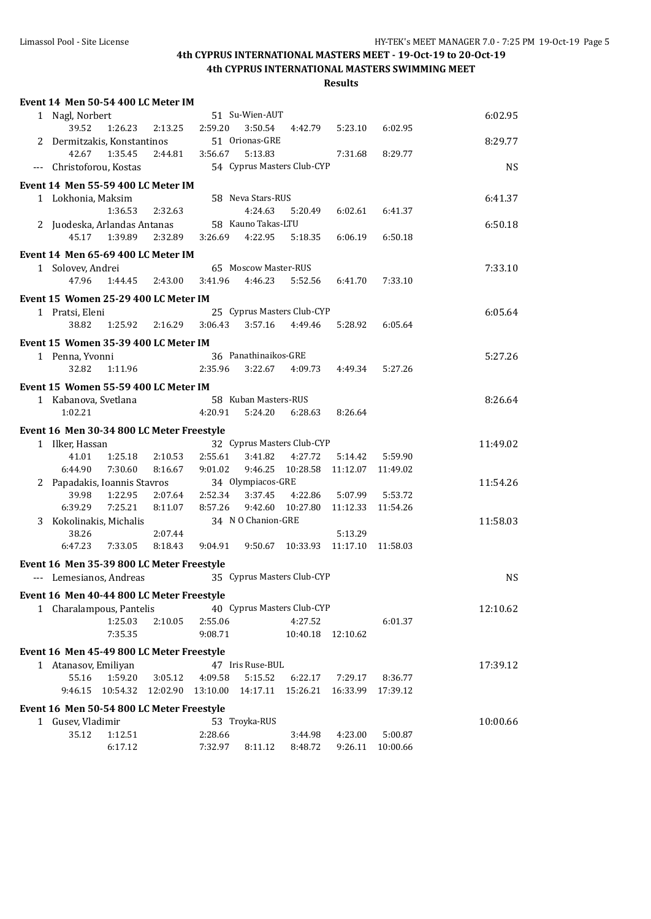# **4th CYPRUS INTERNATIONAL MASTERS MEET - 19-Oct-19 to 20-Oct-19**

**4th CYPRUS INTERNATIONAL MASTERS SWIMMING MEET**

| Event 14 Men 50-54 400 LC Meter IM        |          |          |          |                                 |                  |                     |          |           |
|-------------------------------------------|----------|----------|----------|---------------------------------|------------------|---------------------|----------|-----------|
| 1 Nagl, Norbert                           |          |          |          | 51 Su-Wien-AUT                  |                  |                     |          | 6:02.95   |
| 39.52                                     | 1:26.23  | 2:13.25  | 2:59.20  | 3:50.54                         | 4:42.79          | 5:23.10             | 6:02.95  |           |
| 2 Dermitzakis, Konstantinos               |          |          |          | 51 Orionas-GRE                  |                  |                     |          | 8:29.77   |
| 42.67                                     | 1:35.45  | 2:44.81  | 3:56.67  | 5:13.83                         |                  | 7:31.68             | 8:29.77  |           |
| --- Christoforou, Kostas                  |          |          |          | 54 Cyprus Masters Club-CYP      |                  |                     |          | <b>NS</b> |
| Event 14 Men 55-59 400 LC Meter IM        |          |          |          |                                 |                  |                     |          |           |
| 1 Lokhonia, Maksim                        |          |          |          | 58 Neva Stars-RUS               |                  |                     |          | 6:41.37   |
|                                           | 1:36.53  | 2:32.63  |          | 4:24.63                         | 5:20.49          | 6:02.61             | 6:41.37  |           |
| 2 Juodeska, Arlandas Antanas              |          |          |          | 58 Kauno Takas-LTU              |                  |                     |          | 6:50.18   |
| 45.17                                     | 1:39.89  | 2:32.89  | 3:26.69  | 4:22.95                         | 5:18.35          | 6:06.19             | 6:50.18  |           |
| Event 14 Men 65-69 400 LC Meter IM        |          |          |          |                                 |                  |                     |          |           |
| 1 Solovev, Andrei                         |          |          |          | 65 Moscow Master-RUS            |                  |                     |          | 7:33.10   |
| 47.96                                     | 1:44.45  | 2:43.00  | 3:41.96  | 4:46.23                         | 5:52.56          | 6:41.70             | 7:33.10  |           |
| Event 15 Women 25-29 400 LC Meter IM      |          |          |          |                                 |                  |                     |          |           |
| 1 Pratsi, Eleni                           |          |          |          | 25 Cyprus Masters Club-CYP      |                  |                     |          | 6:05.64   |
| 38.82                                     | 1:25.92  | 2:16.29  | 3:06.43  | 3:57.16                         | 4:49.46          | 5:28.92             | 6:05.64  |           |
| Event 15 Women 35-39 400 LC Meter IM      |          |          |          |                                 |                  |                     |          |           |
| 1 Penna, Yvonni                           |          |          |          | 36 Panathinaikos-GRE            |                  |                     |          | 5:27.26   |
| 32.82                                     | 1:11.96  |          | 2:35.96  | 3:22.67                         | 4:09.73          | 4:49.34             | 5:27.26  |           |
|                                           |          |          |          |                                 |                  |                     |          |           |
| Event 15 Women 55-59 400 LC Meter IM      |          |          |          |                                 |                  |                     |          |           |
| 1 Kabanova, Svetlana<br>1:02.21           |          |          | 4:20.91  | 58 Kuban Masters-RUS<br>5:24.20 |                  |                     |          | 8:26.64   |
|                                           |          |          |          |                                 | 6:28.63          | 8:26.64             |          |           |
| Event 16 Men 30-34 800 LC Meter Freestyle |          |          |          |                                 |                  |                     |          |           |
| 1 Ilker, Hassan                           |          |          |          | 32 Cyprus Masters Club-CYP      |                  |                     |          | 11:49.02  |
| 41.01                                     | 1:25.18  | 2:10.53  | 2:55.61  | 3:41.82                         | 4:27.72          | 5:14.42             | 5:59.90  |           |
| 6:44.90                                   | 7:30.60  | 8:16.67  | 9:01.02  | 9:46.25                         | 10:28.58         | 11:12.07            | 11:49.02 |           |
| 2 Papadakis, Ioannis Stavros<br>39.98     | 1:22.95  | 2:07.64  | 2:52.34  | 34 Olympiacos-GRE<br>3:37.45    | 4:22.86          |                     | 5:53.72  | 11:54.26  |
| 6:39.29                                   | 7:25.21  | 8:11.07  | 8:57.26  | 9:42.60                         | 10:27.80         | 5:07.99<br>11:12.33 | 11:54.26 |           |
| 3 Kokolinakis, Michalis                   |          |          |          | 34 N O Chanion-GRE              |                  |                     |          | 11:58.03  |
| 38.26                                     |          | 2:07.44  |          |                                 |                  | 5:13.29             |          |           |
| 6:47.23                                   | 7:33.05  | 8:18.43  | 9:04.91  |                                 | 9:50.67 10:33.93 | 11:17.10            | 11:58.03 |           |
|                                           |          |          |          |                                 |                  |                     |          |           |
| Event 16 Men 35-39 800 LC Meter Freestyle |          |          |          |                                 |                  |                     |          |           |
| Lemesianos, Andreas                       |          |          |          | 35 Cyprus Masters Club-CYP      |                  |                     |          | <b>NS</b> |
| Event 16 Men 40-44 800 LC Meter Freestyle |          |          |          |                                 |                  |                     |          |           |
| 1 Charalampous, Pantelis                  |          |          |          | 40 Cyprus Masters Club-CYP      |                  |                     |          | 12:10.62  |
|                                           | 1:25.03  | 2:10.05  | 2:55.06  |                                 | 4:27.52          |                     | 6:01.37  |           |
|                                           | 7:35.35  |          | 9:08.71  |                                 | 10:40.18         | 12:10.62            |          |           |
| Event 16 Men 45-49 800 LC Meter Freestyle |          |          |          |                                 |                  |                     |          |           |
| 1 Atanasov, Emiliyan                      |          |          |          | 47 Iris Ruse-BUL                |                  |                     |          | 17:39.12  |
| 55.16                                     | 1:59.20  | 3:05.12  | 4:09.58  | 5:15.52                         | 6:22.17          | 7:29.17             | 8:36.77  |           |
| 9:46.15                                   | 10:54.32 | 12:02.90 | 13:10.00 | 14:17.11                        | 15:26.21         | 16:33.99            | 17:39.12 |           |
| Event 16 Men 50-54 800 LC Meter Freestyle |          |          |          |                                 |                  |                     |          |           |
| 1 Gusev, Vladimir                         |          |          |          | 53 Troyka-RUS                   |                  |                     |          | 10:00.66  |
| 35.12                                     | 1:12.51  |          | 2:28.66  |                                 | 3:44.98          | 4:23.00             | 5:00.87  |           |
|                                           | 6:17.12  |          | 7:32.97  | 8:11.12                         | 8:48.72          | 9:26.11             | 10:00.66 |           |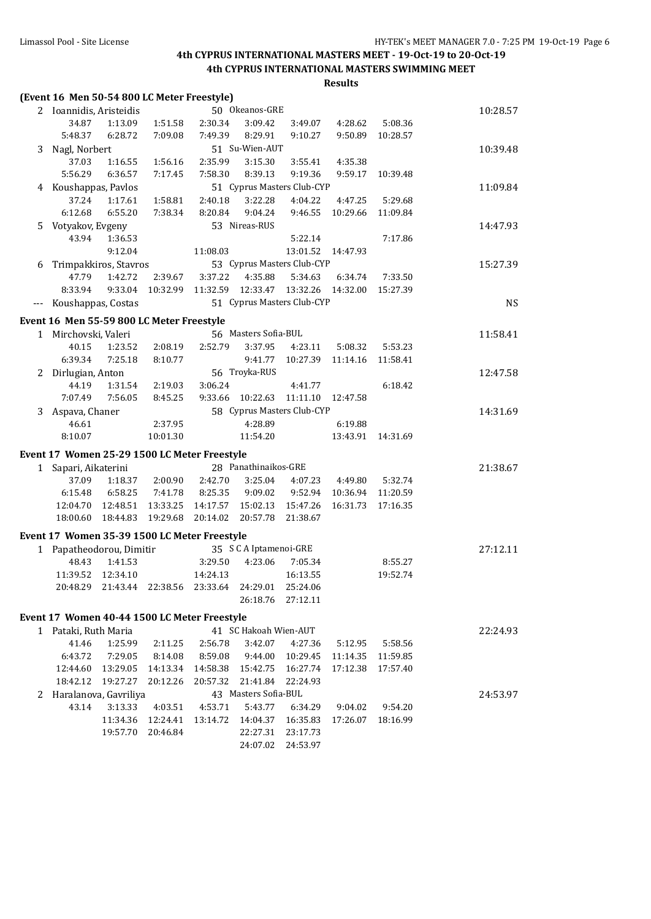| 50 Okeanos-GRE<br>2 Ioannidis, Aristeidis<br>10:28.57<br>1:13.09<br>1:51.58<br>2:30.34<br>34.87<br>3:09.42<br>3:49.07<br>4:28.62<br>5:08.36<br>5:48.37<br>6:28.72<br>7:09.08<br>7:49.39<br>8:29.91<br>9:10.27<br>9:50.89<br>10:28.57<br>51 Su-Wien-AUT<br>Nagl, Norbert<br>10:39.48<br>3<br>2:35.99<br>37.03<br>1:16.55<br>1:56.16<br>3:15.30<br>3:55.41<br>4:35.38<br>5:56.29<br>6:36.57<br>7:17.45<br>7:58.30<br>8:39.13<br>9:19.36<br>9:59.17<br>10:39.48<br>51 Cyprus Masters Club-CYP<br>Koushappas, Pavlos<br>11:09.84<br>4<br>37.24<br>1:17.61<br>1:58.81<br>2:40.18<br>3:22.28<br>4:04.22<br>4:47.25<br>5:29.68<br>6:12.68<br>6:55.20<br>8:20.84<br>7:38.34<br>9:04.24<br>9:46.55<br>10:29.66<br>11:09.84<br>53 Nireas-RUS<br>Votyakov, Evgeny<br>14:47.93<br>5.<br>43.94<br>1:36.53<br>5:22.14<br>7:17.86<br>9:12.04<br>11:08.03<br>13:01.52<br>14:47.93<br>Trimpakkiros, Stavros<br>53 Cyprus Masters Club-CYP<br>15:27.39<br>6<br>47.79<br>1:42.72<br>2:39.67<br>3:37.22<br>4:35.88<br>6:34.74<br>7:33.50<br>5:34.63<br>8:33.94<br>9:33.04<br>10:32.99<br>11:32.59<br>12:33.47<br>13:32.26<br>14:32.00<br>15:27.39<br>51 Cyprus Masters Club-CYP<br>Koushappas, Costas<br><b>NS</b><br>Event 16 Men 55-59 800 LC Meter Freestyle<br>56 Masters Sofia-BUL<br>1 Mirchovski, Valeri<br>11:58.41<br>2:08.19<br>2:52.79<br>40.15<br>1:23.52<br>3:37.95<br>4:23.11<br>5:08.32<br>5:53.23<br>6:39.34<br>7:25.18<br>9:41.77<br>10:27.39<br>8:10.77<br>11:14.16<br>11:58.41<br>56 Troyka-RUS<br>Dirlugian, Anton<br>12:47.58<br>2<br>3:06.24<br>44.19<br>1:31.54<br>2:19.03<br>4:41.77<br>6:18.42<br>7:07.49<br>10:22.63<br>11:11.10<br>7:56.05<br>8:45.25<br>9:33.66<br>12:47.58<br>58 Cyprus Masters Club-CYP<br>14:31.69<br>3<br>Aspava, Chaner<br>46.61<br>2:37.95<br>4:28.89<br>6:19.88<br>8:10.07<br>10:01.30<br>11:54.20<br>13:43.91<br>14:31.69<br>Event 17 Women 25-29 1500 LC Meter Freestyle<br>28 Panathinaikos-GRE<br>Sapari, Aikaterini<br>21:38.67<br>1<br>37.09<br>2:00.90<br>2:42.70<br>1:18.37<br>3:25.04<br>4:07.23<br>4:49.80<br>5:32.74<br>6:15.48<br>6:58.25<br>7:41.78<br>8:25.35<br>9:09.02<br>9:52.94<br>10:36.94<br>11:20.59<br>12:04.70<br>12:48.51<br>13:33.25<br>14:17.57<br>15:02.13 15:47.26<br>16:31.73<br>17:16.35<br>19:29.68<br>20:14.02<br>18:00.60<br>18:44.83<br>20:57.78<br>21:38.67<br>Event 17 Women 35-39 1500 LC Meter Freestyle<br>35 S C A Iptamenoi-GRE<br>1 Papatheodorou, Dimitir<br>27:12.11<br>48.43<br>1:41.53<br>3:29.50<br>4:23.06<br>7:05.34<br>8:55.27<br>12:34.10<br>11:39.52<br>14:24.13<br>16:13.55<br>19:52.74<br>25:24.06<br>23:33.64<br>24:29.01<br>20:48.29<br>21:43.44 22:38.56<br>26:18.76<br>27:12.11<br>Event 17 Women 40-44 1500 LC Meter Freestyle<br>41 SC Hakoah Wien-AUT<br>1 Pataki, Ruth Maria<br>22:24.93<br>41.46<br>1:25.99<br>2:11.25<br>2:56.78<br>3:42.07<br>4:27.36<br>5:12.95<br>5:58.56<br>6:43.72<br>8:14.08<br>8:59.08<br>9:44.00<br>10:29.45<br>7:29.05<br>11:14.35<br>11:59.85<br>13:29.05<br>14:13.34<br>14:58.38<br>15:42.75  16:27.74<br>12:44.60<br>17:12.38<br>17:57.40<br>18:42.12<br>19:27.27<br>20:12.26<br>20:57.32<br>21:41.84<br>22:24.93<br>2 Haralanova, Gavriliya<br>43 Masters Sofia-BUL<br>24:53.97<br>43.14<br>3:13.33<br>4:03.51<br>4:53.71<br>5:43.77<br>6:34.29<br>9:04.02<br>9:54.20<br>11:34.36<br>12:24.41<br>13:14.72<br>14:04.37<br>16:35.83<br>17:26.07<br>18:16.99<br>20:46.84<br>22:27.31<br>23:17.73<br>19:57.70 | (Event 16 Men 50-54 800 LC Meter Freestyle) |  |          |          |  |  |
|---------------------------------------------------------------------------------------------------------------------------------------------------------------------------------------------------------------------------------------------------------------------------------------------------------------------------------------------------------------------------------------------------------------------------------------------------------------------------------------------------------------------------------------------------------------------------------------------------------------------------------------------------------------------------------------------------------------------------------------------------------------------------------------------------------------------------------------------------------------------------------------------------------------------------------------------------------------------------------------------------------------------------------------------------------------------------------------------------------------------------------------------------------------------------------------------------------------------------------------------------------------------------------------------------------------------------------------------------------------------------------------------------------------------------------------------------------------------------------------------------------------------------------------------------------------------------------------------------------------------------------------------------------------------------------------------------------------------------------------------------------------------------------------------------------------------------------------------------------------------------------------------------------------------------------------------------------------------------------------------------------------------------------------------------------------------------------------------------------------------------------------------------------------------------------------------------------------------------------------------------------------------------------------------------------------------------------------------------------------------------------------------------------------------------------------------------------------------------------------------------------------------------------------------------------------------------------------------------------------------------------------------------------------------------------------------------------------------------------------------------------------------------------------------------------------------------------------------------------------------------------------------------------------------------------------------------------------------------------------------------------------------------------------------------------------------------------------------------------------------------------------------------------------------------------------------------------------------------------------------------------------------------------------------------------------------------------------------------------------------------------------------------------------------------------------|---------------------------------------------|--|----------|----------|--|--|
|                                                                                                                                                                                                                                                                                                                                                                                                                                                                                                                                                                                                                                                                                                                                                                                                                                                                                                                                                                                                                                                                                                                                                                                                                                                                                                                                                                                                                                                                                                                                                                                                                                                                                                                                                                                                                                                                                                                                                                                                                                                                                                                                                                                                                                                                                                                                                                                                                                                                                                                                                                                                                                                                                                                                                                                                                                                                                                                                                                                                                                                                                                                                                                                                                                                                                                                                                                                                                                       |                                             |  |          |          |  |  |
|                                                                                                                                                                                                                                                                                                                                                                                                                                                                                                                                                                                                                                                                                                                                                                                                                                                                                                                                                                                                                                                                                                                                                                                                                                                                                                                                                                                                                                                                                                                                                                                                                                                                                                                                                                                                                                                                                                                                                                                                                                                                                                                                                                                                                                                                                                                                                                                                                                                                                                                                                                                                                                                                                                                                                                                                                                                                                                                                                                                                                                                                                                                                                                                                                                                                                                                                                                                                                                       |                                             |  |          |          |  |  |
|                                                                                                                                                                                                                                                                                                                                                                                                                                                                                                                                                                                                                                                                                                                                                                                                                                                                                                                                                                                                                                                                                                                                                                                                                                                                                                                                                                                                                                                                                                                                                                                                                                                                                                                                                                                                                                                                                                                                                                                                                                                                                                                                                                                                                                                                                                                                                                                                                                                                                                                                                                                                                                                                                                                                                                                                                                                                                                                                                                                                                                                                                                                                                                                                                                                                                                                                                                                                                                       |                                             |  |          |          |  |  |
|                                                                                                                                                                                                                                                                                                                                                                                                                                                                                                                                                                                                                                                                                                                                                                                                                                                                                                                                                                                                                                                                                                                                                                                                                                                                                                                                                                                                                                                                                                                                                                                                                                                                                                                                                                                                                                                                                                                                                                                                                                                                                                                                                                                                                                                                                                                                                                                                                                                                                                                                                                                                                                                                                                                                                                                                                                                                                                                                                                                                                                                                                                                                                                                                                                                                                                                                                                                                                                       |                                             |  |          |          |  |  |
|                                                                                                                                                                                                                                                                                                                                                                                                                                                                                                                                                                                                                                                                                                                                                                                                                                                                                                                                                                                                                                                                                                                                                                                                                                                                                                                                                                                                                                                                                                                                                                                                                                                                                                                                                                                                                                                                                                                                                                                                                                                                                                                                                                                                                                                                                                                                                                                                                                                                                                                                                                                                                                                                                                                                                                                                                                                                                                                                                                                                                                                                                                                                                                                                                                                                                                                                                                                                                                       |                                             |  |          |          |  |  |
|                                                                                                                                                                                                                                                                                                                                                                                                                                                                                                                                                                                                                                                                                                                                                                                                                                                                                                                                                                                                                                                                                                                                                                                                                                                                                                                                                                                                                                                                                                                                                                                                                                                                                                                                                                                                                                                                                                                                                                                                                                                                                                                                                                                                                                                                                                                                                                                                                                                                                                                                                                                                                                                                                                                                                                                                                                                                                                                                                                                                                                                                                                                                                                                                                                                                                                                                                                                                                                       |                                             |  |          |          |  |  |
|                                                                                                                                                                                                                                                                                                                                                                                                                                                                                                                                                                                                                                                                                                                                                                                                                                                                                                                                                                                                                                                                                                                                                                                                                                                                                                                                                                                                                                                                                                                                                                                                                                                                                                                                                                                                                                                                                                                                                                                                                                                                                                                                                                                                                                                                                                                                                                                                                                                                                                                                                                                                                                                                                                                                                                                                                                                                                                                                                                                                                                                                                                                                                                                                                                                                                                                                                                                                                                       |                                             |  |          |          |  |  |
|                                                                                                                                                                                                                                                                                                                                                                                                                                                                                                                                                                                                                                                                                                                                                                                                                                                                                                                                                                                                                                                                                                                                                                                                                                                                                                                                                                                                                                                                                                                                                                                                                                                                                                                                                                                                                                                                                                                                                                                                                                                                                                                                                                                                                                                                                                                                                                                                                                                                                                                                                                                                                                                                                                                                                                                                                                                                                                                                                                                                                                                                                                                                                                                                                                                                                                                                                                                                                                       |                                             |  |          |          |  |  |
|                                                                                                                                                                                                                                                                                                                                                                                                                                                                                                                                                                                                                                                                                                                                                                                                                                                                                                                                                                                                                                                                                                                                                                                                                                                                                                                                                                                                                                                                                                                                                                                                                                                                                                                                                                                                                                                                                                                                                                                                                                                                                                                                                                                                                                                                                                                                                                                                                                                                                                                                                                                                                                                                                                                                                                                                                                                                                                                                                                                                                                                                                                                                                                                                                                                                                                                                                                                                                                       |                                             |  |          |          |  |  |
|                                                                                                                                                                                                                                                                                                                                                                                                                                                                                                                                                                                                                                                                                                                                                                                                                                                                                                                                                                                                                                                                                                                                                                                                                                                                                                                                                                                                                                                                                                                                                                                                                                                                                                                                                                                                                                                                                                                                                                                                                                                                                                                                                                                                                                                                                                                                                                                                                                                                                                                                                                                                                                                                                                                                                                                                                                                                                                                                                                                                                                                                                                                                                                                                                                                                                                                                                                                                                                       |                                             |  |          |          |  |  |
|                                                                                                                                                                                                                                                                                                                                                                                                                                                                                                                                                                                                                                                                                                                                                                                                                                                                                                                                                                                                                                                                                                                                                                                                                                                                                                                                                                                                                                                                                                                                                                                                                                                                                                                                                                                                                                                                                                                                                                                                                                                                                                                                                                                                                                                                                                                                                                                                                                                                                                                                                                                                                                                                                                                                                                                                                                                                                                                                                                                                                                                                                                                                                                                                                                                                                                                                                                                                                                       |                                             |  |          |          |  |  |
|                                                                                                                                                                                                                                                                                                                                                                                                                                                                                                                                                                                                                                                                                                                                                                                                                                                                                                                                                                                                                                                                                                                                                                                                                                                                                                                                                                                                                                                                                                                                                                                                                                                                                                                                                                                                                                                                                                                                                                                                                                                                                                                                                                                                                                                                                                                                                                                                                                                                                                                                                                                                                                                                                                                                                                                                                                                                                                                                                                                                                                                                                                                                                                                                                                                                                                                                                                                                                                       |                                             |  |          |          |  |  |
|                                                                                                                                                                                                                                                                                                                                                                                                                                                                                                                                                                                                                                                                                                                                                                                                                                                                                                                                                                                                                                                                                                                                                                                                                                                                                                                                                                                                                                                                                                                                                                                                                                                                                                                                                                                                                                                                                                                                                                                                                                                                                                                                                                                                                                                                                                                                                                                                                                                                                                                                                                                                                                                                                                                                                                                                                                                                                                                                                                                                                                                                                                                                                                                                                                                                                                                                                                                                                                       |                                             |  |          |          |  |  |
|                                                                                                                                                                                                                                                                                                                                                                                                                                                                                                                                                                                                                                                                                                                                                                                                                                                                                                                                                                                                                                                                                                                                                                                                                                                                                                                                                                                                                                                                                                                                                                                                                                                                                                                                                                                                                                                                                                                                                                                                                                                                                                                                                                                                                                                                                                                                                                                                                                                                                                                                                                                                                                                                                                                                                                                                                                                                                                                                                                                                                                                                                                                                                                                                                                                                                                                                                                                                                                       |                                             |  |          |          |  |  |
|                                                                                                                                                                                                                                                                                                                                                                                                                                                                                                                                                                                                                                                                                                                                                                                                                                                                                                                                                                                                                                                                                                                                                                                                                                                                                                                                                                                                                                                                                                                                                                                                                                                                                                                                                                                                                                                                                                                                                                                                                                                                                                                                                                                                                                                                                                                                                                                                                                                                                                                                                                                                                                                                                                                                                                                                                                                                                                                                                                                                                                                                                                                                                                                                                                                                                                                                                                                                                                       |                                             |  |          |          |  |  |
|                                                                                                                                                                                                                                                                                                                                                                                                                                                                                                                                                                                                                                                                                                                                                                                                                                                                                                                                                                                                                                                                                                                                                                                                                                                                                                                                                                                                                                                                                                                                                                                                                                                                                                                                                                                                                                                                                                                                                                                                                                                                                                                                                                                                                                                                                                                                                                                                                                                                                                                                                                                                                                                                                                                                                                                                                                                                                                                                                                                                                                                                                                                                                                                                                                                                                                                                                                                                                                       |                                             |  |          |          |  |  |
|                                                                                                                                                                                                                                                                                                                                                                                                                                                                                                                                                                                                                                                                                                                                                                                                                                                                                                                                                                                                                                                                                                                                                                                                                                                                                                                                                                                                                                                                                                                                                                                                                                                                                                                                                                                                                                                                                                                                                                                                                                                                                                                                                                                                                                                                                                                                                                                                                                                                                                                                                                                                                                                                                                                                                                                                                                                                                                                                                                                                                                                                                                                                                                                                                                                                                                                                                                                                                                       |                                             |  |          |          |  |  |
|                                                                                                                                                                                                                                                                                                                                                                                                                                                                                                                                                                                                                                                                                                                                                                                                                                                                                                                                                                                                                                                                                                                                                                                                                                                                                                                                                                                                                                                                                                                                                                                                                                                                                                                                                                                                                                                                                                                                                                                                                                                                                                                                                                                                                                                                                                                                                                                                                                                                                                                                                                                                                                                                                                                                                                                                                                                                                                                                                                                                                                                                                                                                                                                                                                                                                                                                                                                                                                       |                                             |  |          |          |  |  |
|                                                                                                                                                                                                                                                                                                                                                                                                                                                                                                                                                                                                                                                                                                                                                                                                                                                                                                                                                                                                                                                                                                                                                                                                                                                                                                                                                                                                                                                                                                                                                                                                                                                                                                                                                                                                                                                                                                                                                                                                                                                                                                                                                                                                                                                                                                                                                                                                                                                                                                                                                                                                                                                                                                                                                                                                                                                                                                                                                                                                                                                                                                                                                                                                                                                                                                                                                                                                                                       |                                             |  |          |          |  |  |
|                                                                                                                                                                                                                                                                                                                                                                                                                                                                                                                                                                                                                                                                                                                                                                                                                                                                                                                                                                                                                                                                                                                                                                                                                                                                                                                                                                                                                                                                                                                                                                                                                                                                                                                                                                                                                                                                                                                                                                                                                                                                                                                                                                                                                                                                                                                                                                                                                                                                                                                                                                                                                                                                                                                                                                                                                                                                                                                                                                                                                                                                                                                                                                                                                                                                                                                                                                                                                                       |                                             |  |          |          |  |  |
|                                                                                                                                                                                                                                                                                                                                                                                                                                                                                                                                                                                                                                                                                                                                                                                                                                                                                                                                                                                                                                                                                                                                                                                                                                                                                                                                                                                                                                                                                                                                                                                                                                                                                                                                                                                                                                                                                                                                                                                                                                                                                                                                                                                                                                                                                                                                                                                                                                                                                                                                                                                                                                                                                                                                                                                                                                                                                                                                                                                                                                                                                                                                                                                                                                                                                                                                                                                                                                       |                                             |  |          |          |  |  |
|                                                                                                                                                                                                                                                                                                                                                                                                                                                                                                                                                                                                                                                                                                                                                                                                                                                                                                                                                                                                                                                                                                                                                                                                                                                                                                                                                                                                                                                                                                                                                                                                                                                                                                                                                                                                                                                                                                                                                                                                                                                                                                                                                                                                                                                                                                                                                                                                                                                                                                                                                                                                                                                                                                                                                                                                                                                                                                                                                                                                                                                                                                                                                                                                                                                                                                                                                                                                                                       |                                             |  |          |          |  |  |
|                                                                                                                                                                                                                                                                                                                                                                                                                                                                                                                                                                                                                                                                                                                                                                                                                                                                                                                                                                                                                                                                                                                                                                                                                                                                                                                                                                                                                                                                                                                                                                                                                                                                                                                                                                                                                                                                                                                                                                                                                                                                                                                                                                                                                                                                                                                                                                                                                                                                                                                                                                                                                                                                                                                                                                                                                                                                                                                                                                                                                                                                                                                                                                                                                                                                                                                                                                                                                                       |                                             |  |          |          |  |  |
|                                                                                                                                                                                                                                                                                                                                                                                                                                                                                                                                                                                                                                                                                                                                                                                                                                                                                                                                                                                                                                                                                                                                                                                                                                                                                                                                                                                                                                                                                                                                                                                                                                                                                                                                                                                                                                                                                                                                                                                                                                                                                                                                                                                                                                                                                                                                                                                                                                                                                                                                                                                                                                                                                                                                                                                                                                                                                                                                                                                                                                                                                                                                                                                                                                                                                                                                                                                                                                       |                                             |  |          |          |  |  |
|                                                                                                                                                                                                                                                                                                                                                                                                                                                                                                                                                                                                                                                                                                                                                                                                                                                                                                                                                                                                                                                                                                                                                                                                                                                                                                                                                                                                                                                                                                                                                                                                                                                                                                                                                                                                                                                                                                                                                                                                                                                                                                                                                                                                                                                                                                                                                                                                                                                                                                                                                                                                                                                                                                                                                                                                                                                                                                                                                                                                                                                                                                                                                                                                                                                                                                                                                                                                                                       |                                             |  |          |          |  |  |
|                                                                                                                                                                                                                                                                                                                                                                                                                                                                                                                                                                                                                                                                                                                                                                                                                                                                                                                                                                                                                                                                                                                                                                                                                                                                                                                                                                                                                                                                                                                                                                                                                                                                                                                                                                                                                                                                                                                                                                                                                                                                                                                                                                                                                                                                                                                                                                                                                                                                                                                                                                                                                                                                                                                                                                                                                                                                                                                                                                                                                                                                                                                                                                                                                                                                                                                                                                                                                                       |                                             |  |          |          |  |  |
|                                                                                                                                                                                                                                                                                                                                                                                                                                                                                                                                                                                                                                                                                                                                                                                                                                                                                                                                                                                                                                                                                                                                                                                                                                                                                                                                                                                                                                                                                                                                                                                                                                                                                                                                                                                                                                                                                                                                                                                                                                                                                                                                                                                                                                                                                                                                                                                                                                                                                                                                                                                                                                                                                                                                                                                                                                                                                                                                                                                                                                                                                                                                                                                                                                                                                                                                                                                                                                       |                                             |  |          |          |  |  |
|                                                                                                                                                                                                                                                                                                                                                                                                                                                                                                                                                                                                                                                                                                                                                                                                                                                                                                                                                                                                                                                                                                                                                                                                                                                                                                                                                                                                                                                                                                                                                                                                                                                                                                                                                                                                                                                                                                                                                                                                                                                                                                                                                                                                                                                                                                                                                                                                                                                                                                                                                                                                                                                                                                                                                                                                                                                                                                                                                                                                                                                                                                                                                                                                                                                                                                                                                                                                                                       |                                             |  |          |          |  |  |
|                                                                                                                                                                                                                                                                                                                                                                                                                                                                                                                                                                                                                                                                                                                                                                                                                                                                                                                                                                                                                                                                                                                                                                                                                                                                                                                                                                                                                                                                                                                                                                                                                                                                                                                                                                                                                                                                                                                                                                                                                                                                                                                                                                                                                                                                                                                                                                                                                                                                                                                                                                                                                                                                                                                                                                                                                                                                                                                                                                                                                                                                                                                                                                                                                                                                                                                                                                                                                                       |                                             |  |          |          |  |  |
|                                                                                                                                                                                                                                                                                                                                                                                                                                                                                                                                                                                                                                                                                                                                                                                                                                                                                                                                                                                                                                                                                                                                                                                                                                                                                                                                                                                                                                                                                                                                                                                                                                                                                                                                                                                                                                                                                                                                                                                                                                                                                                                                                                                                                                                                                                                                                                                                                                                                                                                                                                                                                                                                                                                                                                                                                                                                                                                                                                                                                                                                                                                                                                                                                                                                                                                                                                                                                                       |                                             |  |          |          |  |  |
|                                                                                                                                                                                                                                                                                                                                                                                                                                                                                                                                                                                                                                                                                                                                                                                                                                                                                                                                                                                                                                                                                                                                                                                                                                                                                                                                                                                                                                                                                                                                                                                                                                                                                                                                                                                                                                                                                                                                                                                                                                                                                                                                                                                                                                                                                                                                                                                                                                                                                                                                                                                                                                                                                                                                                                                                                                                                                                                                                                                                                                                                                                                                                                                                                                                                                                                                                                                                                                       |                                             |  |          |          |  |  |
|                                                                                                                                                                                                                                                                                                                                                                                                                                                                                                                                                                                                                                                                                                                                                                                                                                                                                                                                                                                                                                                                                                                                                                                                                                                                                                                                                                                                                                                                                                                                                                                                                                                                                                                                                                                                                                                                                                                                                                                                                                                                                                                                                                                                                                                                                                                                                                                                                                                                                                                                                                                                                                                                                                                                                                                                                                                                                                                                                                                                                                                                                                                                                                                                                                                                                                                                                                                                                                       |                                             |  |          |          |  |  |
|                                                                                                                                                                                                                                                                                                                                                                                                                                                                                                                                                                                                                                                                                                                                                                                                                                                                                                                                                                                                                                                                                                                                                                                                                                                                                                                                                                                                                                                                                                                                                                                                                                                                                                                                                                                                                                                                                                                                                                                                                                                                                                                                                                                                                                                                                                                                                                                                                                                                                                                                                                                                                                                                                                                                                                                                                                                                                                                                                                                                                                                                                                                                                                                                                                                                                                                                                                                                                                       |                                             |  |          |          |  |  |
|                                                                                                                                                                                                                                                                                                                                                                                                                                                                                                                                                                                                                                                                                                                                                                                                                                                                                                                                                                                                                                                                                                                                                                                                                                                                                                                                                                                                                                                                                                                                                                                                                                                                                                                                                                                                                                                                                                                                                                                                                                                                                                                                                                                                                                                                                                                                                                                                                                                                                                                                                                                                                                                                                                                                                                                                                                                                                                                                                                                                                                                                                                                                                                                                                                                                                                                                                                                                                                       |                                             |  |          |          |  |  |
|                                                                                                                                                                                                                                                                                                                                                                                                                                                                                                                                                                                                                                                                                                                                                                                                                                                                                                                                                                                                                                                                                                                                                                                                                                                                                                                                                                                                                                                                                                                                                                                                                                                                                                                                                                                                                                                                                                                                                                                                                                                                                                                                                                                                                                                                                                                                                                                                                                                                                                                                                                                                                                                                                                                                                                                                                                                                                                                                                                                                                                                                                                                                                                                                                                                                                                                                                                                                                                       |                                             |  |          |          |  |  |
|                                                                                                                                                                                                                                                                                                                                                                                                                                                                                                                                                                                                                                                                                                                                                                                                                                                                                                                                                                                                                                                                                                                                                                                                                                                                                                                                                                                                                                                                                                                                                                                                                                                                                                                                                                                                                                                                                                                                                                                                                                                                                                                                                                                                                                                                                                                                                                                                                                                                                                                                                                                                                                                                                                                                                                                                                                                                                                                                                                                                                                                                                                                                                                                                                                                                                                                                                                                                                                       |                                             |  |          |          |  |  |
|                                                                                                                                                                                                                                                                                                                                                                                                                                                                                                                                                                                                                                                                                                                                                                                                                                                                                                                                                                                                                                                                                                                                                                                                                                                                                                                                                                                                                                                                                                                                                                                                                                                                                                                                                                                                                                                                                                                                                                                                                                                                                                                                                                                                                                                                                                                                                                                                                                                                                                                                                                                                                                                                                                                                                                                                                                                                                                                                                                                                                                                                                                                                                                                                                                                                                                                                                                                                                                       |                                             |  |          |          |  |  |
|                                                                                                                                                                                                                                                                                                                                                                                                                                                                                                                                                                                                                                                                                                                                                                                                                                                                                                                                                                                                                                                                                                                                                                                                                                                                                                                                                                                                                                                                                                                                                                                                                                                                                                                                                                                                                                                                                                                                                                                                                                                                                                                                                                                                                                                                                                                                                                                                                                                                                                                                                                                                                                                                                                                                                                                                                                                                                                                                                                                                                                                                                                                                                                                                                                                                                                                                                                                                                                       |                                             |  |          |          |  |  |
|                                                                                                                                                                                                                                                                                                                                                                                                                                                                                                                                                                                                                                                                                                                                                                                                                                                                                                                                                                                                                                                                                                                                                                                                                                                                                                                                                                                                                                                                                                                                                                                                                                                                                                                                                                                                                                                                                                                                                                                                                                                                                                                                                                                                                                                                                                                                                                                                                                                                                                                                                                                                                                                                                                                                                                                                                                                                                                                                                                                                                                                                                                                                                                                                                                                                                                                                                                                                                                       |                                             |  |          |          |  |  |
|                                                                                                                                                                                                                                                                                                                                                                                                                                                                                                                                                                                                                                                                                                                                                                                                                                                                                                                                                                                                                                                                                                                                                                                                                                                                                                                                                                                                                                                                                                                                                                                                                                                                                                                                                                                                                                                                                                                                                                                                                                                                                                                                                                                                                                                                                                                                                                                                                                                                                                                                                                                                                                                                                                                                                                                                                                                                                                                                                                                                                                                                                                                                                                                                                                                                                                                                                                                                                                       |                                             |  |          |          |  |  |
|                                                                                                                                                                                                                                                                                                                                                                                                                                                                                                                                                                                                                                                                                                                                                                                                                                                                                                                                                                                                                                                                                                                                                                                                                                                                                                                                                                                                                                                                                                                                                                                                                                                                                                                                                                                                                                                                                                                                                                                                                                                                                                                                                                                                                                                                                                                                                                                                                                                                                                                                                                                                                                                                                                                                                                                                                                                                                                                                                                                                                                                                                                                                                                                                                                                                                                                                                                                                                                       |                                             |  |          |          |  |  |
|                                                                                                                                                                                                                                                                                                                                                                                                                                                                                                                                                                                                                                                                                                                                                                                                                                                                                                                                                                                                                                                                                                                                                                                                                                                                                                                                                                                                                                                                                                                                                                                                                                                                                                                                                                                                                                                                                                                                                                                                                                                                                                                                                                                                                                                                                                                                                                                                                                                                                                                                                                                                                                                                                                                                                                                                                                                                                                                                                                                                                                                                                                                                                                                                                                                                                                                                                                                                                                       |                                             |  |          |          |  |  |
|                                                                                                                                                                                                                                                                                                                                                                                                                                                                                                                                                                                                                                                                                                                                                                                                                                                                                                                                                                                                                                                                                                                                                                                                                                                                                                                                                                                                                                                                                                                                                                                                                                                                                                                                                                                                                                                                                                                                                                                                                                                                                                                                                                                                                                                                                                                                                                                                                                                                                                                                                                                                                                                                                                                                                                                                                                                                                                                                                                                                                                                                                                                                                                                                                                                                                                                                                                                                                                       |                                             |  |          |          |  |  |
|                                                                                                                                                                                                                                                                                                                                                                                                                                                                                                                                                                                                                                                                                                                                                                                                                                                                                                                                                                                                                                                                                                                                                                                                                                                                                                                                                                                                                                                                                                                                                                                                                                                                                                                                                                                                                                                                                                                                                                                                                                                                                                                                                                                                                                                                                                                                                                                                                                                                                                                                                                                                                                                                                                                                                                                                                                                                                                                                                                                                                                                                                                                                                                                                                                                                                                                                                                                                                                       |                                             |  |          |          |  |  |
|                                                                                                                                                                                                                                                                                                                                                                                                                                                                                                                                                                                                                                                                                                                                                                                                                                                                                                                                                                                                                                                                                                                                                                                                                                                                                                                                                                                                                                                                                                                                                                                                                                                                                                                                                                                                                                                                                                                                                                                                                                                                                                                                                                                                                                                                                                                                                                                                                                                                                                                                                                                                                                                                                                                                                                                                                                                                                                                                                                                                                                                                                                                                                                                                                                                                                                                                                                                                                                       |                                             |  |          |          |  |  |
|                                                                                                                                                                                                                                                                                                                                                                                                                                                                                                                                                                                                                                                                                                                                                                                                                                                                                                                                                                                                                                                                                                                                                                                                                                                                                                                                                                                                                                                                                                                                                                                                                                                                                                                                                                                                                                                                                                                                                                                                                                                                                                                                                                                                                                                                                                                                                                                                                                                                                                                                                                                                                                                                                                                                                                                                                                                                                                                                                                                                                                                                                                                                                                                                                                                                                                                                                                                                                                       |                                             |  |          |          |  |  |
|                                                                                                                                                                                                                                                                                                                                                                                                                                                                                                                                                                                                                                                                                                                                                                                                                                                                                                                                                                                                                                                                                                                                                                                                                                                                                                                                                                                                                                                                                                                                                                                                                                                                                                                                                                                                                                                                                                                                                                                                                                                                                                                                                                                                                                                                                                                                                                                                                                                                                                                                                                                                                                                                                                                                                                                                                                                                                                                                                                                                                                                                                                                                                                                                                                                                                                                                                                                                                                       |                                             |  |          |          |  |  |
|                                                                                                                                                                                                                                                                                                                                                                                                                                                                                                                                                                                                                                                                                                                                                                                                                                                                                                                                                                                                                                                                                                                                                                                                                                                                                                                                                                                                                                                                                                                                                                                                                                                                                                                                                                                                                                                                                                                                                                                                                                                                                                                                                                                                                                                                                                                                                                                                                                                                                                                                                                                                                                                                                                                                                                                                                                                                                                                                                                                                                                                                                                                                                                                                                                                                                                                                                                                                                                       |                                             |  |          |          |  |  |
|                                                                                                                                                                                                                                                                                                                                                                                                                                                                                                                                                                                                                                                                                                                                                                                                                                                                                                                                                                                                                                                                                                                                                                                                                                                                                                                                                                                                                                                                                                                                                                                                                                                                                                                                                                                                                                                                                                                                                                                                                                                                                                                                                                                                                                                                                                                                                                                                                                                                                                                                                                                                                                                                                                                                                                                                                                                                                                                                                                                                                                                                                                                                                                                                                                                                                                                                                                                                                                       |                                             |  |          |          |  |  |
|                                                                                                                                                                                                                                                                                                                                                                                                                                                                                                                                                                                                                                                                                                                                                                                                                                                                                                                                                                                                                                                                                                                                                                                                                                                                                                                                                                                                                                                                                                                                                                                                                                                                                                                                                                                                                                                                                                                                                                                                                                                                                                                                                                                                                                                                                                                                                                                                                                                                                                                                                                                                                                                                                                                                                                                                                                                                                                                                                                                                                                                                                                                                                                                                                                                                                                                                                                                                                                       |                                             |  | 24:07.02 | 24:53.97 |  |  |